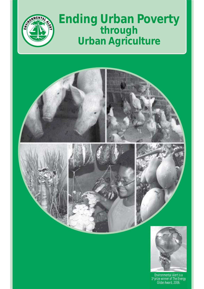

## **Ending Urban Poverty through Urban Agriculture**

**Ending Urban Poverty through Urban Agriculture**

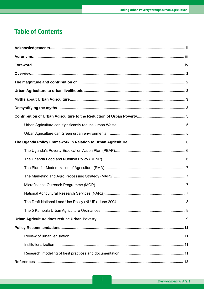## **Table of Contents**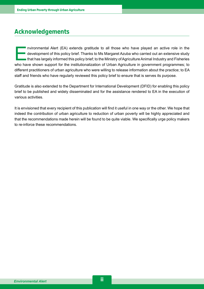## **Acknowledgements**

Invironmental Alert (EA) extends gratitude to all those who have played an active role in the development of this policy brief. Thanks to Ms Margaret Azuba who carried out an extensive study that has largely informed this development of this policy brief. Thanks to Ms Margaret Azuba who carried out an extensive study that has largely informed this policy brief; to the Ministry of Agriculture Animal Industry and Fisheries who have shown support for the institutionalization of Urban Agriculture in government programmes; to different practitioners of urban agriculture who were willing to release information about the practice; to EA staff and friends who have regularly reviewed this policy brief to ensure that is serves its purpose.

Gratitude is also extended to the Department for International Development (DFID) for enabling this policy brief to be published and widely disseminated and for the assistance rendered to EA in the execution of various activities.

It is envisioned that every recipient of this publication will find it useful in one way or the other. We hope that indeed the contribution of urban agriculture to reduction of urban poverty will be highly appreciated and that the recommendations made herein will be found to be quite viable. We specifically urge policy makers to re-inforce these recommendations.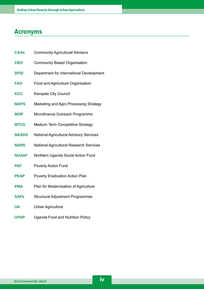## **Acronyms**

| <b>CAAs</b>  | <b>Community Agricultural Advisors</b>         |  |
|--------------|------------------------------------------------|--|
| <b>CBO</b>   | <b>Community Based Organisation</b>            |  |
| <b>DFID</b>  | Department for International Development       |  |
| <b>FAO</b>   | Food and Agriculture Organisation              |  |
| <b>KCC</b>   | Kampala City Council                           |  |
| <b>MAPS</b>  | Marketing and Agro Processing Strategy         |  |
| <b>MOP</b>   | Microfinance Outreach Programme                |  |
| <b>MTCS</b>  | <b>Medium Term Competitive Strategy</b>        |  |
| <b>NAADS</b> | <b>National Agricultural Advisory Services</b> |  |
| <b>NARS</b>  | <b>National Agricultural Research Services</b> |  |
| <b>NUSAF</b> | Northern Uganda Social Action Fund             |  |
| <b>PAF</b>   | <b>Poverty Action Fund</b>                     |  |
| <b>PEAP</b>  | Poverty Eradication Action Plan                |  |
| <b>PMA</b>   | Plan for Modernisation of Agriculture          |  |
| <b>SAPs</b>  | <b>Structural Adjustment Programmes</b>        |  |
| <b>UA</b>    | <b>Urban Agriculture</b>                       |  |
| <b>UFNP</b>  | <b>Uganda Food and Nutrition Policy</b>        |  |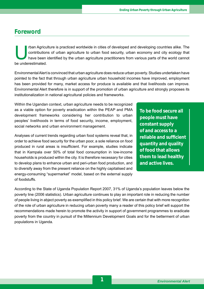## **Foreword**

rban Agriculture is practiced worldwide in cities of developed and developing countries alike. The contributions of urban agriculture to urban food security, urban economy and city ecology that have been identified by the urban agriculture practitioners from various parts of the world cannot be underestimated.

Environmental Alert is convinced that urban agriculture does reduce urban poverty. Studies undertaken have pointed to the fact that through urban agriculture urban household incomes have improved, employment has been provided for many, market access for produce is available and that livelihoods can improve. Environmental Alert therefore is in support of the promotion of urban agriculture and strongly proposes its institutionalization in national agricultural policies and frameworks.

Within the Ugandan context, urban agriculture needs to be recognized as a viable option for poverty eradication within the PEAP and PMA development frameworks considering her contribution to urban peoples' livelihoods in terms of food security, income, employment, social networks and urban environment management.

Analyses of current trends regarding urban food systems reveal that, in order to achieve food security for the urban poor, a sole reliance on food produced in rural areas is insufficient. For example, studies indicate that in Kampala over 50% of total food consumption in low-income households is produced within the city. It is therefore necessary for cities to develop plans to enhance urban and peri-urban food production, and to diversify away from the present reliance on the highly capitalised and energy-consuming "supermarket" model, based on the external supply of foodstuffs.

**To be food secure all people must have constant supply of and access to a reliable and sufficient quantity and quality of food that allows them to lead healthy and active lives.**

According to the State of Uganda Population Report 2007, 31% of Ugandaís population leaves below the poverty line (2006 statistics). Urban agriculture continues to play an important role in reducing the number of people living in abject poverty as exemplified in this policy brief. We are certain that with more recognition of the role of urban agriculture in reducing urban poverty many a reader of this policy brief will support the recommendations made herein to promote the activity in support of government programmes to eradicate poverty from the country in pursuit of the Millennium Development Goals and for the betterment of urban populations in Uganda.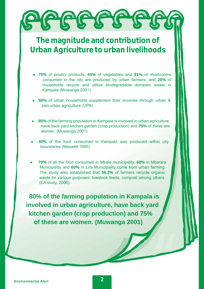# **AGGGGGGG**

## **The magnitude and contribution of Urban Agriculture to urban livelihoods**

- **70%** of poultry products, **45%** of vegetables and **91%** of mushrooms consumed in the city are produced by urban farmers; and **20%** of households recycle and utilize biodegradable domestic waste in Kampala (Muwanga 2001)
- **50%** of urban households supplement their incomes through urban & peri-urban agriculture (UPA)
- 80% of the farming population in Kampala is involved in urban agriculture, have back yard kitchen garden (crop production) and **75%** of these are women. (Muwanga 2001)
- 40% of the food consumed in Kampala was produced within city boundaries (Maxwell 1995)
- **70%** of all the food consumed in Mbale municipality, **60%** in Mbarara Municipality and **60%** in Lira Municipality come from urban farming. The study also established that **56.3%** of farmers recycle organic waste for various purposes: livestock feeds, compost among others (EA study, 2006)

**80% of the farming population in Kampala is involved in urban agriculture, have back yard kitchen garden (crop production) and 75% of these are women. (Muwanga 2001)**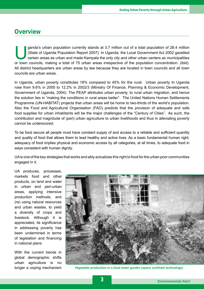## **Overview**

ganda's urban population currently stands at 3.7 million out of a total population of 28.4 million (State of Uganda Population Report 2007). In Uganda, the Local Government Act 2002 gazetted certain areas as urban and made (State of Uganda Population Report 2007). In Uganda, the Local Government Act 2002 gazetted or town councils, making a total of 75 urban areas irrespective of the population concentration. (ibid). All district headquarters are urban areas by law because they are located in town councils and all town councils are urban areas.

In Uganda, urban poverty constitutes 18% compared to 45% for the rural. Urban poverty In Uganda rose from 9.6% in 2000 to 12.2% in 2002/3 (Ministry Of Finance, Planning & Economic Development, Government of Uganda, 2004). The PEAP attributes urban poverty, to rural urban migration, and hence the solution lies in "making the conditions in rural areas better". The United Nations Human Settlements Programme (UN-HABITAT) projects that urban areas will be home to two-thirds of the world's population. Also the Food and Agricultural Organisation (FAO) predicts that the provision of adequate and safe food supplies for urban inhabitants will be the major challenges of the "Century of Cities". As such, the contribution and magnitude of (peri) urban agriculture to urban livelihoods and thus in alleviating poverty cannot be underscored.

To be food secure all people must have constant supply of and access to a reliable and sufficient quantity and quality of food that allows them to lead healthy and active lives. As a basic fundamental human right, adequacy of food implies physical and economic access by all categories, at all times, to adequate food in ways consistent with human dignity.

UA is one of the key strategies that works and ably actualizes this right to food for the urban poor communities engaged in it.

UA produces, processes, markets food and other products, on land and water in urban and peri-urban areas, applying intensive production methods, and (re) using natural resources and urban wastes, to yield a diversity of crops and livestock. Although it is appreciated, its significance in addressing poverty has been undermined in terms of legislation and financing in national plans

With the current trends in global demographic shifts urban agriculture is no



longer a coping mechanism *Vegetable production in a food tower garden (space confined technology)*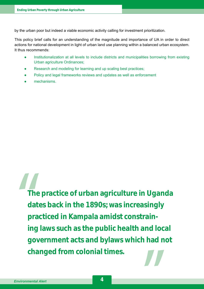by the urban poor but indeed a viable economic activity calling for investment prioritization.

This policy brief calls for an understanding of the magnitude and importance of UA in order to direct actions for national development in light of urban land use planning within a balanced urban ecosystem. It thus recommends:

- Institutionalization at all levels to include districts and municipalities borrowing from existing Urban agriculture Ordinances;
- Research and modeling for learning and up scaling best practices;
- Policy and legal frameworks reviews and updates as well as enforcement
- mechanisms.

**The practice of urban agriculture in Uganda dates back in the 1890s; was increasingly practiced in Kampala amidst constraining laws such as the public health and local government acts and bylaws which had not changed from colonial times.**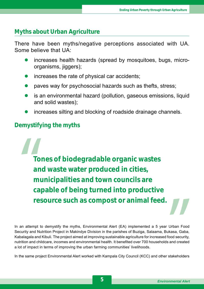## **Myths about Urban Agriculture**

There have been myths/negative perceptions associated with UA. Some believe that UA:

- increases health hazards (spread by mosquitoes, bugs, microorganisms, jiggers);
- increases the rate of physical car accidents;
- paves way for psychosocial hazards such as thefts, stress;
- is an environmental hazard (pollution, gaseous emissions, liquid and solid wastes);
- increases silting and blocking of roadside drainage channels.

## **Demystifying the myths**

**Tones of biodegradable organic wastes and waste water produced in cities, municipalities and town councils are capable of being turned into productive resource such as compost or animal feed.**

In an attempt to demystify the myths, Environmental Alert (EA) implemented a 5 year Urban Food Security and Nutrition Project in Makindye Division in the parishes of Buziga, Salaama, Bukasa, Gaba, Kabalagala and Kibuli. The project aimed at improving sustainable agriculture for increased food security, nutrition and childcare, incomes and environmental health. It benefited over 700 households and created a lot of impact in terms of improving the urban farming communities' livelihoods.

In the same project Environmental Alert worked with Kampala City Council (KCC) and other stakeholders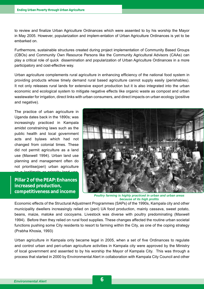to review and finalize Urban Agriculture Ordinances which were assented to by his worship the Mayor in May 2005. However, popularization and implem-entation of Urban Agriculture Ordinances is yet to be embarked on.

Furthermore, sustainable structures created during project implementation of Community Based Groups (CBOs) and Community Own Resource Persons like the Community Agricultural Advisors (CAAs) can play a critical role of quick dissemination and popularization of Urban Agriculture Ordinances in a more participatory and cost-effective way.

Urban agriculture complements rural agriculture in enhancing efficiency of the national food system in providing products whose timely demand rural based agriculture cannot supply easily (perishables). It not only releases rural lands for extensive export production but it is also integrated into the urban economic and ecological system to mitigate negative effects like organic waste as compost and urban wastewater for irrigation, direct links with urban consumers, and direct impacts on urban ecology (positive and negative).

The practice of urban agriculture in Uganda dates back in the 1890s; was increasingly practiced in Kampala amidst constraining laws such as the public health and local government acts and bylaws which had not changed from colonial times. These did not permit agriculture as a land use (Maxwell 1994). Urban land use planning and management often do not prioritise(peri) urban agriculture

**Pillar 2 of the PEAP: Enhances** for urban and include the included production,  $\frac{1}{2}$ labour, water, and  $\frac{1}{2}$  $\bf{compact}$  itiveness and income

as a legitimate or prirority land use.



*Poultry farming is highly practiced in urban and urban areas because of its high profits* 

Economic effects of the Structural Adjustment Programmes (SAPs) of the 1990s, Kampala city and other municipality dwellers increasingly relied on (peri) UA food production, mainly cassava, sweet potato, beans, maize, matoke and cocoyams. Livestock was diverse with poultry predominating (Maxwell 1994). Before then they relied on rural food supplies. These changes affected the routine urban societal functions pushing some City residents to resort to farming within the City, as one of the coping strategy (Prabha Khosia, 1993)

Urban agriculture in Kampala only became legal in 2005, when a set of five Ordinances to regulate and control urban and peri-urban agriculture activities in Kampala city were approved by the Ministry of local government and assented to by his worship the Mayor of Kampala City. This was through a process that started in 2000 by Environmental Alert in collaboration with Kampala City Council and other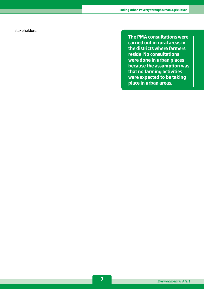stakeholders.

**The PMA consultations were carried out in rural areas in the districts where farmers reside. No consultations were done in urban places because the assumption was that no farming activities were expected to be taking place in urban areas.**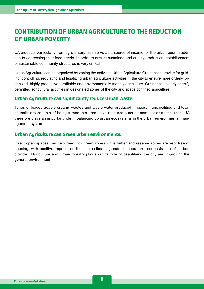## **CONTRIBUTION OF URBAN AGRICULTURE TO THE REDUCTION OF URBAN POVERTY**

UA products particularly from agro-enterprises serve as a source of income for the urban poor in addition to addressing their food needs. In order to ensure sustained and quality production, establishment of sustainable community structures is very critical.

Urban Agriculture can be organized by zoning the activities Urban Agriculture Ordinances provide for guiding, controlling, regulating and legalizing urban agriculture activities in the city to ensure more orderly, organized, highly productive, profitable and environmentally friendly agriculture. Ordinances clearly specify permitted agricultural activities in designated zones of the city and space confined agriculture.

#### **Urban Agriculture can significantly reduce Urban Waste**

Tones of biodegradable organic wastes and waste water produced in cities, municipalities and town councils are capable of being turned into productive resource such as compost or animal feed. UA therefore plays an important role in balancing up urban ecosystems in the urban environmental management system.

#### **Urban Agriculture can Green urban environments.**

Direct open spaces can be turned into green zones while buffer and reserve zones are kept free of housing, with positive impacts on the micro-climate (shade, temperature, sequestration of carbon dioxide). Floriculture and Urban forestry play a critical role of beautifying the city and improving the general environment.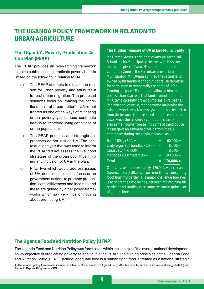## **THE UGANDA POLICY FRAMEWORK IN RELATION TO URBAN AGRICULTURE**

#### **The Uganda's Poverty Eradication Action Plan (PEAP)**

The PEAP provides an over-arching framework to guide public action to eradicate poverty but it is limited on the following in relation to UA:

- a) The PEAP attempts to explain the reason for urban poverty and attributes it to rural urban migration. The proposed solutions focus on "making the conditions in rural areas better". UA is not fronted as one of the ways of mitigating urban poverty yet is does contribute heavily to improved living conditions of urban populations.
- b) The PEAP priorities and strategic approaches do not include UA. The contextual analysis that was used to inform the PEAP did not assess the livelihood strategies of the urban poor thus limiting any inclusion of UA in the plan.
- c) Pillar two which would address issues of UA does not do so. It focuses on government actions to promote production, competitiveness and incomes and these are guided by other policy frameworks which say very little or nothing about promoting UA.1

#### **The Hidden Treasure of UA in Lira Municipality**

*Mr. Otema Moses is a student of Amugu Technical School in Lira Municipality. He lives with his sister on a small piece of land. Moses rents a room in Lumumba Zone in the Peri urban area of Lira Municipality. Mr. Otema admired the vacant land owned by his landlord of about 1 acre. He requested for permission to temporarily use some of it for farming purposes. The landlord allowed him to use less than ¼ acre of that land around his home. Mr. Otema currently grows pumpkins, okra, beans, 'Malakwang', cassava, mangoes and maintains the existing wood trees. Moses says that he has benefi ted from UA because it has reduced his household food costs, keeps the landlord's compound clean, and also earns income from selling some of the produce. Moses gave an estimate of yields from the UA enterprises during the previous season as;-*

| $100,000/$ = |
|--------------|
| 8,640/       |
| $8,000/$ =   |
| $60,000/$ =  |
|              |

*Otema saves approximately 176,000/= per season (approximately 30,000/= per month) by consuming food from his garden. His major challenge however, is to share the time he has, between maintaining his gardens and studies, since some seasons require a lot of garden time.*

#### **The Uganda Food and Nutrition Policy (UFNP)**

The Uganda Food and Nutrition Policy was formulated within the context of the overall national development policy objective of eradicating poverty as spelt out in the PEAP. The guiding principles of the Uganda Food and Nutrition Policy (UFNP) include; adequate food is a human right; food is treated as a national strategic

<sup>1</sup> These other policy frameworks include the Plan for Modernisation of Agriculture (PMA), Medium Term Competitiveness strategy (MTCS) and Strategic Exports Programme (SEP).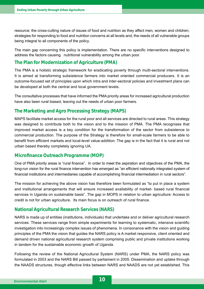resource; the cross-cutting nature of issues of food and nutrition as they affect men, women and children; strategies for responding to food and nutrition concerns at all levels and; the needs of all vulnerable groups being integral to all components of the policy.

The main gap concerning this policy is implementation. There are no specific interventions designed to address the factors causing nutritional vulnerability among the urban poor.

#### **The Plan for Modernization of Agriculture (PMA)**

The PMA is a holistic strategic framework for eradicating poverty through multi-sectoral interventions. It is aimed at transforming subsistence farmers into market oriented commercial producers. It is an outcome-focused set of principles upon which intra and inter-sectoral policies and investment plans can be developed at both the central and local government levels.

The consultative processes that have informed the PMA priority areas for increased agricultural production have also been rural biased, leaving out the needs of urban poor farmers.

#### **The Marketing and Agro Processing Strategy (MAPS)**

MAPS facilitate market access for the rural poor and all services are directed to rural areas. This strategy was designed to contribute both to the vision and to the mission of PMA. The PMA recognises that improved market access is a key condition for the transformation of the sector from subsistence to commercial production. The purpose of the Strategy is therefore for small-scale farmers to be able to benefit from efficient markets and local-level value-addition. The gap is in the fact that it is rural and not urban based thereby completely ignoring UA.

#### **Microfinance Outreach Programme (MOP)**

One of PMA priority areas is "rural finance". In order to meet the aspiration and objectives of the PMA, the long-run vision for the rural finance intervention has emerged as "an efficient nationally integrated system of financial institutions and intermediaries capable of accomplishing financial intermediation in rural sectors".

The mission for achieving the above vision has therefore been formulated as "to put in place a system and institutional arrangements that will ensure increased availability of market- based rural financial services in Uganda on sustainable basis". The gap in MOPS in relation to urban agriculture: Access to credit is not for urban agriculture. Its main focus is on outreach of rural finance.

#### **National Agricultural Research Services (NARS)**

NARS is made up of entities (institutions, individuals) that undertake and or deliver agricultural research services. These services range from simple experiments for learning to systematic, intensive scientific investigation into increasingly complex issues of phenomena. In consonance with the vision and guiding principles of the PMA the vision that guides the NARS policy is A market responsive, client oriented and demand driven national agricultural research system comprising public and private institutions working in tandem for the sustainable economic growth of Uganda.

Following the review of the National Agricultural System (NARS) under PMA, the NARS policy was formulated in 2003 and the NARS Bill passed by parliament in 2005. Dissemination and uptake through the NAADS structures, though effective links between NARS and NAADS are not yet established. This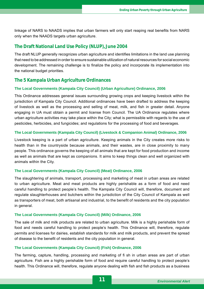linkage of NARS to NAADS implies that urban farmers will only start reaping real benefits from NARS only when the NAADS targets urban agriculture.

#### **The Draft National Land Use Policy (NLUP), June 2004**

The draft NLUP generally recognizes urban agriculture and identifies limitations in the land use planning that need to be addressed in order to ensure sustainable utilization of natural resources for social economic development. The remaining challenge is to finalize the policy and incorporate its implementation into the national budget priorities.

#### **The 5 Kampala Urban Agriculture Ordinances**

#### **The Local Governments (Kampala City Council) (Urban Agriculture) Ordinance, 2006**

This Ordinance addresses general issues surrounding growing crops and keeping livestock within the jurisdiction of Kampala City Council. Additional ordinances have been drafted to address the keeping of livestock as well as the processing and selling of meat, milk, and fish in greater detail. Anyone engaging in UA must obtain a permit and license from Council. The UA Ordinance regulates where urban agriculture activities may take place within the City; what is permissible with regards to the use of pesticides, herbicides, and fungicides; and regulations for the processing of food and beverages.

#### **The Local Governments (Kampala City Council) (Livestock & Companion Animal) Ordinance, 2006**

Livestock keeping is a part of urban agriculture. Keeping animals in the City creates more risks to health than in the countryside because animals, and their wastes, are in close proximity to many people. This ordinance governs the keeping of all animals that are kept for food production and income as well as animals that are kept as companions. It aims to keep things clean and well organized with animals within the City.

#### **The Local Governments (Kampala City Council) (Meat) Ordinance, 2006**

The slaughtering of animals, transport, processing and marketing of meat in urban areas are related to urban agriculture. Meat and meat products are highly perishable as a form of food and need careful handling to protect peopleís health. The Kampala City Council will, therefore, document and regulate slaughterhouses and butchers within the jurisdiction of the City Council of Kampala as well as transporters of meat, both artisanal and industrial, to the benefit of residents and the city population in general.

#### **The Local Governments (Kampala City Council) (Milk) Ordinance, 2006**

The sale of milk and milk products are related to urban agriculture. Milk is a highly perishable form of food and needs careful handling to protect people's health. This Ordinance will, therefore, regulate permits and licenses for dairies, establish standards for milk and milk products, and prevent the spread of disease to the benefit of residents and the city population in general.

#### **The Local Governments (Kampala City Council) (Fish) Ordinance, 2006**

The farming, capture, handling, processing and marketing of fi sh in urban areas are part of urban agriculture. Fish are a highly perishable form of food and require careful handling to protect people's health. This Ordinance will, therefore, regulate anyone dealing with fish and fish products as a business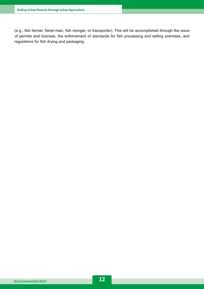(e.g., fish farmer, fisher-man, fish monger, or transporter). This will be accomplished through the issue of permits and licenses, the enforcement of standards for fish processing and selling premises, and regulations for fish drying and packaging.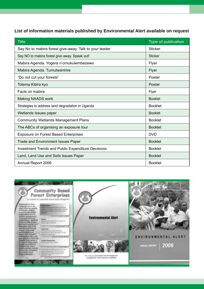### **List of information materials published by Environmental Alert available on request**

| <b>Title</b>                                              | Type of publication |
|-----------------------------------------------------------|---------------------|
| Say No to mabira forest give-away. Talk to your leader    | <b>Sticker</b>      |
| Say NO to mabira forest give away. Speak out!             | <b>Sticker</b>      |
| Mabira Agenda. Yogera n'omukulembezewo                    | Flyer               |
| Mabira Agenda. Tumulwanirire                              | Flyer               |
| "Do not cut your forests"                                 | Poster              |
| Totema Kibira kyo                                         | Poster              |
| Facts on mabira                                           | Flyer               |
| Making NAADS work                                         | <b>Booklet</b>      |
| Strategies to address land degradation in Uganda          | <b>Booklet</b>      |
| Wetlands Issues paper                                     | <b>Booklet</b>      |
| <b>Community Wetlands Management Plans</b>                | <b>Booklet</b>      |
| The ABCs of organising an exposure tour                   | <b>Booklet</b>      |
| <b>Exposure on Forest Based Enterprises</b>               | <b>DVD</b>          |
| <b>Trade and Environment Issues Paper</b>                 | <b>Booklet</b>      |
| <b>Investment Trends and Public Expenditure Decisions</b> | <b>Booklet</b>      |
| Land, Land Use and Soils Issues Paper                     | <b>Booklet</b>      |
| Annual Report 2006                                        | <b>Booklet</b>      |